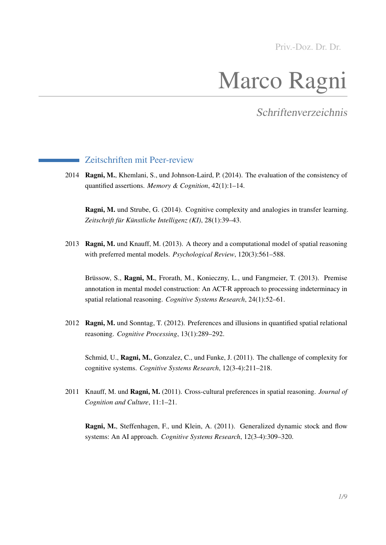Priv.-Doz. Dr. Dr.

# Marco Ragni

Schriftenverzeichnis

## Zeitschriften mit Peer-review

2014 Ragni, M., Khemlani, S., und Johnson-Laird, P. (2014). The evaluation of the consistency of quantified assertions. *Memory & Cognition*, 42(1):1–14.

Ragni, M. und Strube, G. (2014). Cognitive complexity and analogies in transfer learning. *Zeitschrift für Künstliche Intelligenz (KI)*, 28(1):39–43.

2013 Ragni, M. und Knauff, M. (2013). A theory and a computational model of spatial reasoning with preferred mental models. *Psychological Review*, 120(3):561–588.

Brüssow, S., Ragni, M., Frorath, M., Konieczny, L., und Fangmeier, T. (2013). Premise annotation in mental model construction: An ACT-R approach to processing indeterminacy in spatial relational reasoning. *Cognitive Systems Research*, 24(1):52–61.

2012 Ragni, M. und Sonntag, T. (2012). Preferences and illusions in quantified spatial relational reasoning. *Cognitive Processing*, 13(1):289–292.

Schmid, U., Ragni, M., Gonzalez, C., und Funke, J. (2011). The challenge of complexity for cognitive systems. *Cognitive Systems Research*, 12(3-4):211–218.

2011 Knauff, M. und Ragni, M. (2011). Cross-cultural preferences in spatial reasoning. *Journal of Cognition and Culture*, 11:1–21.

Ragni, M., Steffenhagen, F., und Klein, A. (2011). Generalized dynamic stock and flow systems: An AI approach. *Cognitive Systems Research*, 12(3-4):309–320.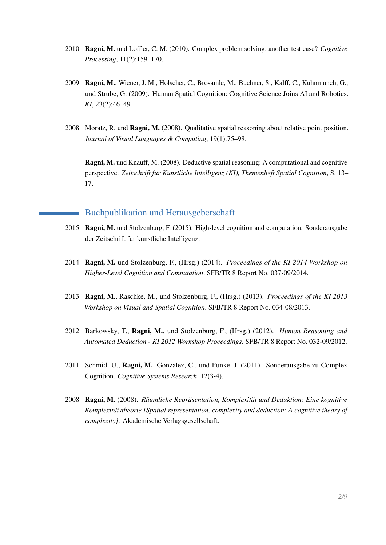- 2010 Ragni, M. und Löffler, C. M. (2010). Complex problem solving: another test case? *Cognitive Processing*, 11(2):159–170.
- 2009 Ragni, M., Wiener, J. M., Hölscher, C., Brösamle, M., Büchner, S., Kalff, C., Kuhnmünch, G., und Strube, G. (2009). Human Spatial Cognition: Cognitive Science Joins AI and Robotics. *KI*, 23(2):46–49.
- 2008 Moratz, R. und Ragni, M. (2008). Qualitative spatial reasoning about relative point position. *Journal of Visual Languages & Computing*, 19(1):75–98.

Ragni, M. und Knauff, M. (2008). Deductive spatial reasoning: A computational and cognitive perspective. *Zeitschrift für Künstliche Intelligenz (KI), Themenheft Spatial Cognition*, S. 13– 17.

## Buchpublikation und Herausgeberschaft

- 2015 Ragni, M. und Stolzenburg, F. (2015). High-level cognition and computation. Sonderausgabe der Zeitschrift für künstliche Intelligenz.
- 2014 Ragni, M. und Stolzenburg, F., (Hrsg.) (2014). *Proceedings of the KI 2014 Workshop on Higher-Level Cognition and Computation*. SFB/TR 8 Report No. 037-09/2014.
- 2013 Ragni, M., Raschke, M., und Stolzenburg, F., (Hrsg.) (2013). *Proceedings of the KI 2013 Workshop on Visual and Spatial Cognition*. SFB/TR 8 Report No. 034-08/2013.
- 2012 Barkowsky, T., Ragni, M., und Stolzenburg, F., (Hrsg.) (2012). *Human Reasoning and Automated Deduction - KI 2012 Workshop Proceedings*. SFB/TR 8 Report No. 032-09/2012.
- 2011 Schmid, U., Ragni, M., Gonzalez, C., und Funke, J. (2011). Sonderausgabe zu Complex Cognition. *Cognitive Systems Research*, 12(3-4).
- 2008 Ragni, M. (2008). *Räumliche Repräsentation, Komplexität und Deduktion: Eine kognitive Komplexitätstheorie [Spatial representation, complexity and deduction: A cognitive theory of complexity]*. Akademische Verlagsgesellschaft.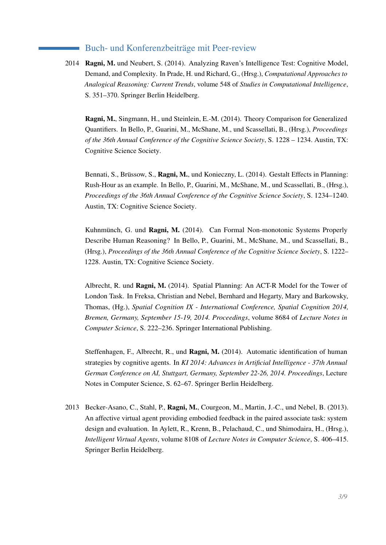## Buch- und Konferenzbeiträge mit Peer-review

2014 Ragni, M. und Neubert, S. (2014). Analyzing Raven's Intelligence Test: Cognitive Model, Demand, and Complexity. In Prade, H. und Richard, G., (Hrsg.), *Computational Approaches to Analogical Reasoning: Current Trends*, volume 548 of *Studies in Computational Intelligence*, S. 351–370. Springer Berlin Heidelberg.

Ragni, M., Singmann, H., und Steinlein, E.-M. (2014). Theory Comparison for Generalized Quantifiers. In Bello, P., Guarini, M., McShane, M., und Scassellati, B., (Hrsg.), *Proceedings of the 36th Annual Conference of the Cognitive Science Society*, S. 1228 – 1234. Austin, TX: Cognitive Science Society.

Bennati, S., Brüssow, S., Ragni, M., und Konieczny, L. (2014). Gestalt Effects in Planning: Rush-Hour as an example. In Bello, P., Guarini, M., McShane, M., und Scassellati, B., (Hrsg.), *Proceedings of the 36th Annual Conference of the Cognitive Science Society*, S. 1234–1240. Austin, TX: Cognitive Science Society.

Kuhnmünch, G. und Ragni, M. (2014). Can Formal Non-monotonic Systems Properly Describe Human Reasoning? In Bello, P., Guarini, M., McShane, M., und Scassellati, B., (Hrsg.), *Proceedings of the 36th Annual Conference of the Cognitive Science Society*, S. 1222– 1228. Austin, TX: Cognitive Science Society.

Albrecht, R. und Ragni, M. (2014). Spatial Planning: An ACT-R Model for the Tower of London Task. In Freksa, Christian and Nebel, Bernhard and Hegarty, Mary and Barkowsky, Thomas, (Hg.), *Spatial Cognition IX - International Conference, Spatial Cognition 2014, Bremen, Germany, September 15-19, 2014. Proceedings*, volume 8684 of *Lecture Notes in Computer Science*, S. 222–236. Springer International Publishing.

Steffenhagen, F., Albrecht, R., und **Ragni, M.** (2014). Automatic identification of human strategies by cognitive agents. In *KI 2014: Advances in Artificial Intelligence - 37th Annual German Conference on AI, Stuttgart, Germany, September 22-26, 2014. Proceedings*, Lecture Notes in Computer Science, S. 62–67. Springer Berlin Heidelberg.

2013 Becker-Asano, C., Stahl, P., Ragni, M., Courgeon, M., Martin, J.-C., und Nebel, B. (2013). An affective virtual agent providing embodied feedback in the paired associate task: system design and evaluation. In Aylett, R., Krenn, B., Pelachaud, C., und Shimodaira, H., (Hrsg.), *Intelligent Virtual Agents*, volume 8108 of *Lecture Notes in Computer Science*, S. 406–415. Springer Berlin Heidelberg.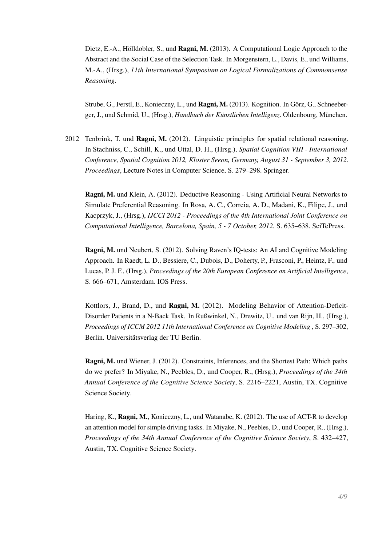Dietz, E.-A., Hölldobler, S., und Ragni, M. (2013). A Computational Logic Approach to the Abstract and the Social Case of the Selection Task. In Morgenstern, L., Davis, E., und Williams, M.-A., (Hrsg.), *11th International Symposium on Logical Formalizations of Commonsense Reasoning*.

Strube, G., Ferstl, E., Konieczny, L., und Ragni, M. (2013). Kognition. In Görz, G., Schneeberger, J., und Schmid, U., (Hrsg.), *Handbuch der Künstlichen Intelligenz*. Oldenbourg, München.

2012 Tenbrink, T. und Ragni, M. (2012). Linguistic principles for spatial relational reasoning. In Stachniss, C., Schill, K., und Uttal, D. H., (Hrsg.), *Spatial Cognition VIII - International Conference, Spatial Cognition 2012, Kloster Seeon, Germany, August 31 - September 3, 2012. Proceedings*, Lecture Notes in Computer Science, S. 279–298. Springer.

Ragni, M. und Klein, A. (2012). Deductive Reasoning - Using Artificial Neural Networks to Simulate Preferential Reasoning. In Rosa, A. C., Correia, A. D., Madani, K., Filipe, J., und Kacprzyk, J., (Hrsg.), *IJCCI 2012 - Proceedings of the 4th International Joint Conference on Computational Intelligence, Barcelona, Spain, 5 - 7 October, 2012*, S. 635–638. SciTePress.

Ragni, M. und Neubert, S. (2012). Solving Raven's IQ-tests: An AI and Cognitive Modeling Approach. In Raedt, L. D., Bessiere, C., Dubois, D., Doherty, P., Frasconi, P., Heintz, F., und Lucas, P. J. F., (Hrsg.), *Proceedings of the 20th European Conference on Artificial Intelligence*, S. 666–671, Amsterdam. IOS Press.

Kottlors, J., Brand, D., und Ragni, M. (2012). Modeling Behavior of Attention-Deficit-Disorder Patients in a N-Back Task. In Rußwinkel, N., Drewitz, U., und van Rijn, H., (Hrsg.), *Proceedings of ICCM 2012 11th International Conference on Cognitive Modeling* , S. 297–302, Berlin. Universitätsverlag der TU Berlin.

Ragni, M. und Wiener, J. (2012). Constraints, Inferences, and the Shortest Path: Which paths do we prefer? In Miyake, N., Peebles, D., und Cooper, R., (Hrsg.), *Proceedings of the 34th Annual Conference of the Cognitive Science Society*, S. 2216–2221, Austin, TX. Cognitive Science Society.

Haring, K., Ragni, M., Konieczny, L., und Watanabe, K. (2012). The use of ACT-R to develop an attention model for simple driving tasks. In Miyake, N., Peebles, D., und Cooper, R., (Hrsg.), *Proceedings of the 34th Annual Conference of the Cognitive Science Society*, S. 432–427, Austin, TX. Cognitive Science Society.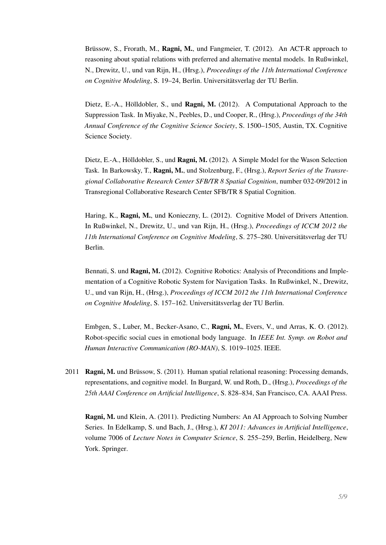Brüssow, S., Frorath, M., Ragni, M., und Fangmeier, T. (2012). An ACT-R approach to reasoning about spatial relations with preferred and alternative mental models. In Rußwinkel, N., Drewitz, U., und van Rijn, H., (Hrsg.), *Proceedings of the 11th International Conference on Cognitive Modeling*, S. 19–24, Berlin. Universitätsverlag der TU Berlin.

Dietz, E.-A., Hölldobler, S., und Ragni, M. (2012). A Computational Approach to the Suppression Task. In Miyake, N., Peebles, D., und Cooper, R., (Hrsg.), *Proceedings of the 34th Annual Conference of the Cognitive Science Society*, S. 1500–1505, Austin, TX. Cognitive Science Society.

Dietz, E.-A., Hölldobler, S., und Ragni, M. (2012). A Simple Model for the Wason Selection Task. In Barkowsky, T., **Ragni, M.**, und Stolzenburg, F., (Hrsg.), *Report Series of the Transregional Collaborative Research Center SFB/TR 8 Spatial Cognition*, number 032-09/2012 in Transregional Collaborative Research Center SFB/TR 8 Spatial Cognition.

Haring, K., Ragni, M., und Konieczny, L. (2012). Cognitive Model of Drivers Attention. In Rußwinkel, N., Drewitz, U., und van Rijn, H., (Hrsg.), *Proceedings of ICCM 2012 the 11th International Conference on Cognitive Modeling*, S. 275–280. Universitätsverlag der TU Berlin.

Bennati, S. und Ragni, M. (2012). Cognitive Robotics: Analysis of Preconditions and Implementation of a Cognitive Robotic System for Navigation Tasks. In Rußwinkel, N., Drewitz, U., und van Rijn, H., (Hrsg.), *Proceedings of ICCM 2012 the 11th International Conference on Cognitive Modeling*, S. 157–162. Universitätsverlag der TU Berlin.

Embgen, S., Luber, M., Becker-Asano, C., Ragni, M., Evers, V., und Arras, K. O. (2012). Robot-specific social cues in emotional body language. In *IEEE Int. Symp. on Robot and Human Interactive Communication (RO-MAN)*, S. 1019–1025. IEEE.

2011 **Ragni, M.** und Brüssow, S. (2011). Human spatial relational reasoning: Processing demands, representations, and cognitive model. In Burgard, W. und Roth, D., (Hrsg.), *Proceedings of the 25th AAAI Conference on Artificial Intelligence*, S. 828–834, San Francisco, CA. AAAI Press.

Ragni, M. und Klein, A. (2011). Predicting Numbers: An AI Approach to Solving Number Series. In Edelkamp, S. und Bach, J., (Hrsg.), *KI 2011: Advances in Artificial Intelligence*, volume 7006 of *Lecture Notes in Computer Science*, S. 255–259, Berlin, Heidelberg, New York. Springer.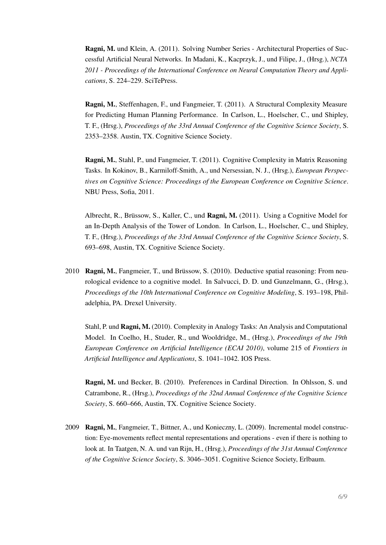Ragni, M. und Klein, A. (2011). Solving Number Series - Architectural Properties of Successful Artificial Neural Networks. In Madani, K., Kacprzyk, J., und Filipe, J., (Hrsg.), *NCTA 2011 - Proceedings of the International Conference on Neural Computation Theory and Applications*, S. 224–229. SciTePress.

Ragni, M., Steffenhagen, F., und Fangmeier, T. (2011). A Structural Complexity Measure for Predicting Human Planning Performance. In Carlson, L., Hoelscher, C., und Shipley, T. F., (Hrsg.), *Proceedings of the 33rd Annual Conference of the Cognitive Science Society*, S. 2353–2358. Austin, TX. Cognitive Science Society.

Ragni, M., Stahl, P., und Fangmeier, T. (2011). Cognitive Complexity in Matrix Reasoning Tasks. In Kokinov, B., Karmiloff-Smith, A., und Nersessian, N. J., (Hrsg.), *European Perspectives on Cognitive Science: Proceedings of the European Conference on Cognitive Science*. NBU Press, Sofia, 2011.

Albrecht, R., Brüssow, S., Kaller, C., und Ragni, M. (2011). Using a Cognitive Model for an In-Depth Analysis of the Tower of London. In Carlson, L., Hoelscher, C., und Shipley, T. F., (Hrsg.), *Proceedings of the 33rd Annual Conference of the Cognitive Science Society*, S. 693–698, Austin, TX. Cognitive Science Society.

2010 Ragni, M., Fangmeier, T., und Brüssow, S. (2010). Deductive spatial reasoning: From neurological evidence to a cognitive model. In Salvucci, D. D. und Gunzelmann, G., (Hrsg.), *Proceedings of the 10th International Conference on Cognitive Modeling*, S. 193–198, Philadelphia, PA. Drexel University.

Stahl, P. und Ragni, M. (2010). Complexity in Analogy Tasks: An Analysis and Computational Model. In Coelho, H., Studer, R., und Wooldridge, M., (Hrsg.), *Proceedings of the 19th European Conference on Artificial Intelligence (ECAI 2010)*, volume 215 of *Frontiers in Artificial Intelligence and Applications*, S. 1041–1042. IOS Press.

Ragni, M. und Becker, B. (2010). Preferences in Cardinal Direction. In Ohlsson, S. und Catrambone, R., (Hrsg.), *Proceedings of the 32nd Annual Conference of the Cognitive Science Society*, S. 660–666, Austin, TX. Cognitive Science Society.

2009 Ragni, M., Fangmeier, T., Bittner, A., und Konieczny, L. (2009). Incremental model construction: Eye-movements reflect mental representations and operations - even if there is nothing to look at. In Taatgen, N. A. und van Rijn, H., (Hrsg.), *Proceedings of the 31st Annual Conference of the Cognitive Science Society*, S. 3046–3051. Cognitive Science Society, Erlbaum.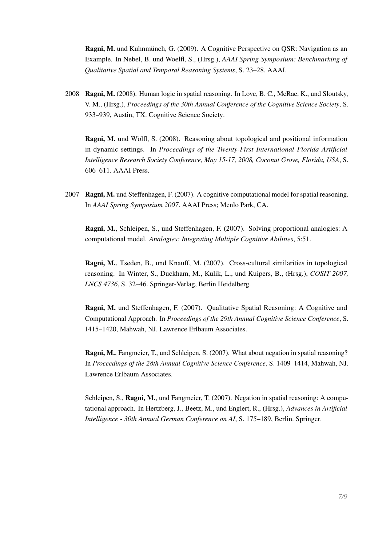Ragni, M. und Kuhnmünch, G. (2009). A Cognitive Perspective on QSR: Navigation as an Example. In Nebel, B. und Woelfl, S., (Hrsg.), *AAAI Spring Symposium: Benchmarking of Qualitative Spatial and Temporal Reasoning Systems*, S. 23–28. AAAI.

2008 Ragni, M. (2008). Human logic in spatial reasoning. In Love, B. C., McRae, K., und Sloutsky, V. M., (Hrsg.), *Proceedings of the 30th Annual Conference of the Cognitive Science Society*, S. 933–939, Austin, TX. Cognitive Science Society.

Ragni, M. und Wölfl, S. (2008). Reasoning about topological and positional information in dynamic settings. In *Proceedings of the Twenty-First International Florida Artificial Intelligence Research Society Conference, May 15-17, 2008, Coconut Grove, Florida, USA*, S. 606–611. AAAI Press.

2007 Ragni, M. und Steffenhagen, F. (2007). A cognitive computational model for spatial reasoning. In *AAAI Spring Symposium 2007*. AAAI Press; Menlo Park, CA.

Ragni, M., Schleipen, S., und Steffenhagen, F. (2007). Solving proportional analogies: A computational model. *Analogies: Integrating Multiple Cognitive Abilities*, 5:51.

Ragni, M., Tseden, B., und Knauff, M. (2007). Cross-cultural similarities in topological reasoning. In Winter, S., Duckham, M., Kulik, L., und Kuipers, B., (Hrsg.), *COSIT 2007, LNCS 4736*, S. 32–46. Springer-Verlag, Berlin Heidelberg.

Ragni, M. und Steffenhagen, F. (2007). Qualitative Spatial Reasoning: A Cognitive and Computational Approach. In *Proceedings of the 29th Annual Cognitive Science Conference*, S. 1415–1420, Mahwah, NJ. Lawrence Erlbaum Associates.

Ragni, M., Fangmeier, T., und Schleipen, S. (2007). What about negation in spatial reasoning? In *Proceedings of the 28th Annual Cognitive Science Conference*, S. 1409–1414, Mahwah, NJ. Lawrence Erlbaum Associates.

Schleipen, S., Ragni, M., und Fangmeier, T. (2007). Negation in spatial reasoning: A computational approach. In Hertzberg, J., Beetz, M., und Englert, R., (Hrsg.), *Advances in Artificial Intelligence - 30th Annual German Conference on AI*, S. 175–189, Berlin. Springer.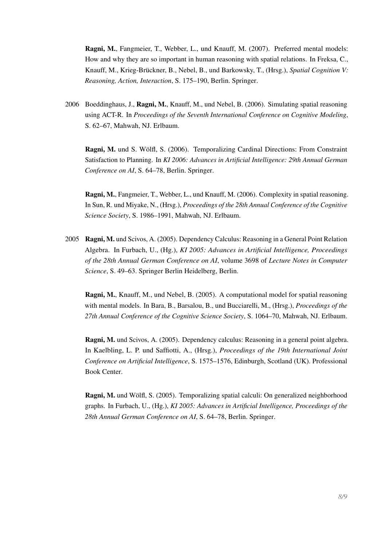Ragni, M., Fangmeier, T., Webber, L., und Knauff, M. (2007). Preferred mental models: How and why they are so important in human reasoning with spatial relations. In Freksa, C., Knauff, M., Krieg-Brückner, B., Nebel, B., und Barkowsky, T., (Hrsg.), *Spatial Cognition V: Reasoning, Action, Interaction*, S. 175–190, Berlin. Springer.

2006 Boeddinghaus, J., Ragni, M., Knauff, M., und Nebel, B. (2006). Simulating spatial reasoning using ACT-R. In *Proceedings of the Seventh International Conference on Cognitive Modeling*, S. 62–67, Mahwah, NJ. Erlbaum.

Ragni, M. und S. Wölfl, S. (2006). Temporalizing Cardinal Directions: From Constraint Satisfaction to Planning. In *KI 2006: Advances in Artificial Intelligence: 29th Annual German Conference on AI*, S. 64–78, Berlin. Springer.

Ragni, M., Fangmeier, T., Webber, L., und Knauff, M. (2006). Complexity in spatial reasoning. In Sun, R. und Miyake, N., (Hrsg.), *Proceedings of the 28th Annual Conference of the Cognitive Science Society*, S. 1986–1991, Mahwah, NJ. Erlbaum.

2005 Ragni, M. und Scivos, A. (2005). Dependency Calculus: Reasoning in a General Point Relation Algebra. In Furbach, U., (Hg.), *KI 2005: Advances in Artificial Intelligence, Proceedings of the 28th Annual German Conference on AI*, volume 3698 of *Lecture Notes in Computer Science*, S. 49–63. Springer Berlin Heidelberg, Berlin.

Ragni, M., Knauff, M., und Nebel, B. (2005). A computational model for spatial reasoning with mental models. In Bara, B., Barsalou, B., und Bucciarelli, M., (Hrsg.), *Proceedings of the 27th Annual Conference of the Cognitive Science Society*, S. 1064–70, Mahwah, NJ. Erlbaum.

Ragni, M. und Scivos, A. (2005). Dependency calculus: Reasoning in a general point algebra. In Kaelbling, L. P. und Saffiotti, A., (Hrsg.), *Proceedings of the 19th International Joint Conference on Artificial Intelligence*, S. 1575–1576, Edinburgh, Scotland (UK). Professional Book Center.

Ragni, M. und Wölfl, S. (2005). Temporalizing spatial calculi: On generalized neighborhood graphs. In Furbach, U., (Hg.), *KI 2005: Advances in Artificial Intelligence, Proceedings of the 28th Annual German Conference on AI*, S. 64–78, Berlin. Springer.